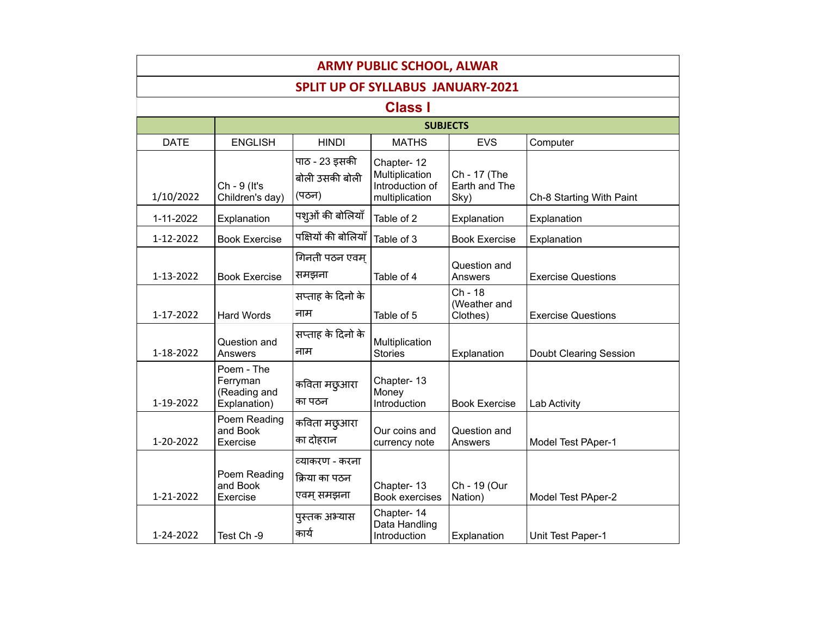| <b>ARMY PUBLIC SCHOOL, ALWAR</b>         |                                                        |                                               |                                                                   |                                       |                               |  |  |
|------------------------------------------|--------------------------------------------------------|-----------------------------------------------|-------------------------------------------------------------------|---------------------------------------|-------------------------------|--|--|
| <b>SPLIT UP OF SYLLABUS JANUARY-2021</b> |                                                        |                                               |                                                                   |                                       |                               |  |  |
|                                          |                                                        |                                               | <b>Class I</b>                                                    |                                       |                               |  |  |
|                                          |                                                        |                                               | <b>SUBJECTS</b>                                                   |                                       |                               |  |  |
| <b>DATE</b>                              | <b>ENGLISH</b>                                         | <b>HINDI</b>                                  | <b>MATHS</b>                                                      | <b>EVS</b>                            | Computer                      |  |  |
| 1/10/2022                                | Ch - 9 (It's<br>Children's day)                        | पाठ - 23 इसकी<br>बोली उसकी बोली<br>(पठन)      | Chapter-12<br>Multiplication<br>Introduction of<br>multiplication | Ch - 17 (The<br>Earth and The<br>Sky) | Ch-8 Starting With Paint      |  |  |
| 1-11-2022                                | Explanation                                            | पशुओं की बोलियाँ                              | Table of 2                                                        | Explanation                           | Explanation                   |  |  |
| 1-12-2022                                | <b>Book Exercise</b>                                   | पक्षियों की बोलियाँ                           | Table of 3                                                        | <b>Book Exercise</b>                  | Explanation                   |  |  |
| 1-13-2022                                | <b>Book Exercise</b>                                   | गिनती पठन एवम<br>समझना                        | Table of 4                                                        | Question and<br>Answers               | <b>Exercise Questions</b>     |  |  |
| 1-17-2022                                | <b>Hard Words</b>                                      | सप्ताह के दिनो के<br>नाम                      | Table of 5                                                        | Ch - 18<br>(Weather and<br>Clothes)   | <b>Exercise Questions</b>     |  |  |
| 1-18-2022                                | Question and<br>Answers                                | सप्ताह के दिनो के<br>नाम                      | Multiplication<br><b>Stories</b>                                  | Explanation                           | <b>Doubt Clearing Session</b> |  |  |
| 1-19-2022                                | Poem - The<br>Ferryman<br>(Reading and<br>Explanation) | कविता मछुआरा<br>का पठन                        | Chapter-13<br>Money<br>Introduction                               | <b>Book Exercise</b>                  | Lab Activity                  |  |  |
| 1-20-2022                                | Poem Reading<br>and Book<br>Exercise                   | कविता मछुआरा<br>का दोहरान                     | Our coins and<br>currency note                                    | Question and<br>Answers               | Model Test PAper-1            |  |  |
| 1-21-2022                                | Poem Reading<br>and Book<br>Exercise                   | व्याकरण - करना<br>क्रिया का पठन<br>एवम् समझना | Chapter-13<br><b>Book exercises</b>                               | Ch - 19 (Our<br>Nation)               | Model Test PAper-2            |  |  |
| 1-24-2022                                | Test Ch -9                                             | पुस्तक अभ्यास<br>कार्य                        | Chapter-14<br>Data Handling<br>Introduction                       | Explanation                           | Unit Test Paper-1             |  |  |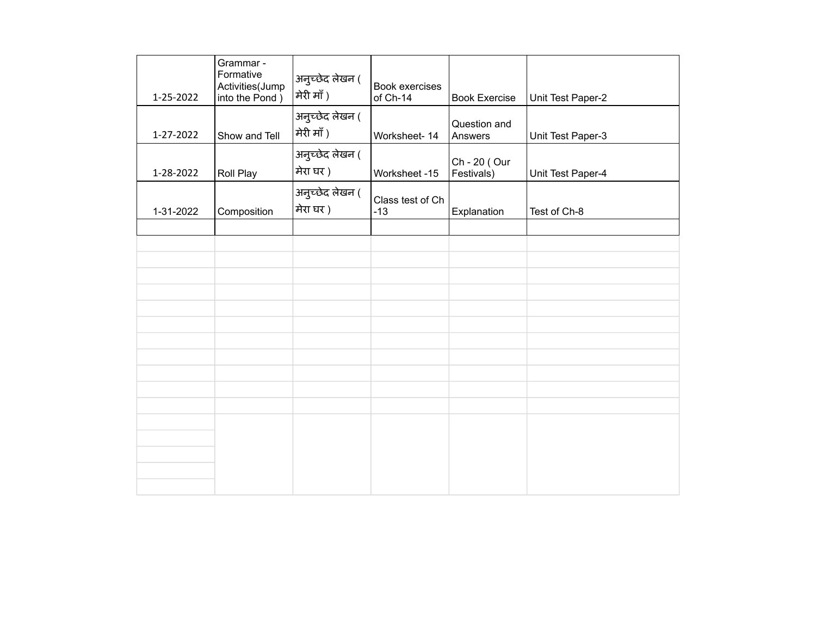| 1-25-2022 | Grammar -<br>Formative<br>Activities(Jump<br>into the Pond ) | अनुच्छेद लेखन (<br>मेरी माँ ) | <b>Book exercises</b><br>of Ch-14 | <b>Book Exercise</b>       | Unit Test Paper-2 |
|-----------|--------------------------------------------------------------|-------------------------------|-----------------------------------|----------------------------|-------------------|
| 1-27-2022 | Show and Tell                                                | अनुच्छेद लेखन (<br>मेरी माँ ) | Worksheet-14                      | Question and<br>Answers    | Unit Test Paper-3 |
| 1-28-2022 | Roll Play                                                    | अनुच्छेद लेखन (<br>मेरा घर )  | Worksheet -15                     | Ch - 20 (Our<br>Festivals) | Unit Test Paper-4 |
| 1-31-2022 | Composition                                                  | अनुच्छेद लेखन (<br>मेरा घर)   | Class test of Ch<br>$-13$         | Explanation                | Test of Ch-8      |
|           |                                                              |                               |                                   |                            |                   |
|           |                                                              |                               |                                   |                            |                   |
|           |                                                              |                               |                                   |                            |                   |
|           |                                                              |                               |                                   |                            |                   |
|           |                                                              |                               |                                   |                            |                   |
|           |                                                              |                               |                                   |                            |                   |
|           |                                                              |                               |                                   |                            |                   |
|           |                                                              |                               |                                   |                            |                   |
|           |                                                              |                               |                                   |                            |                   |
|           |                                                              |                               |                                   |                            |                   |
|           |                                                              |                               |                                   |                            |                   |
|           |                                                              |                               |                                   |                            |                   |
|           |                                                              |                               |                                   |                            |                   |
|           |                                                              |                               |                                   |                            |                   |
|           |                                                              |                               |                                   |                            |                   |
|           |                                                              |                               |                                   |                            |                   |
|           |                                                              |                               |                                   |                            |                   |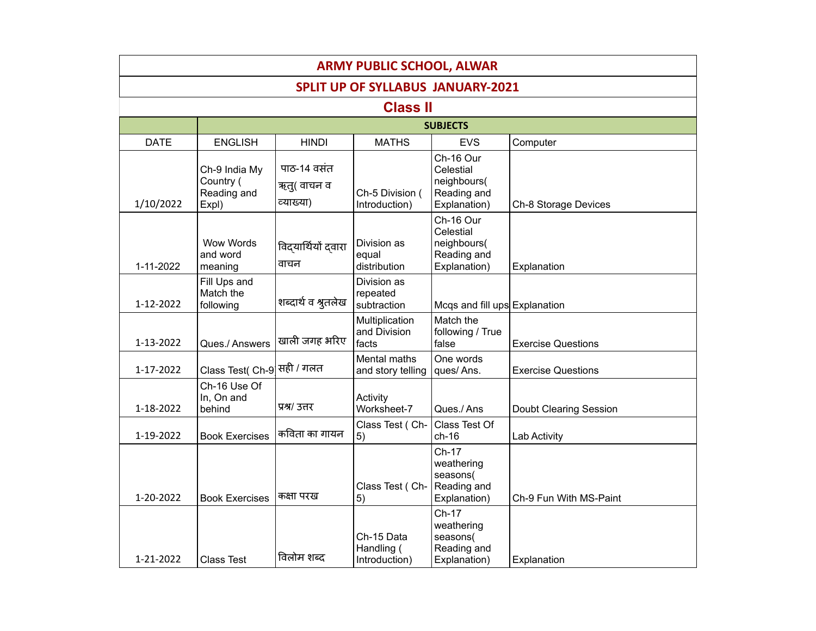| <b>ARMY PUBLIC SCHOOL, ALWAR</b>         |                                                    |                                         |                                           |                                                                      |                           |  |  |  |  |
|------------------------------------------|----------------------------------------------------|-----------------------------------------|-------------------------------------------|----------------------------------------------------------------------|---------------------------|--|--|--|--|
| <b>SPLIT UP OF SYLLABUS JANUARY-2021</b> |                                                    |                                         |                                           |                                                                      |                           |  |  |  |  |
|                                          | <b>Class II</b>                                    |                                         |                                           |                                                                      |                           |  |  |  |  |
|                                          |                                                    |                                         |                                           | <b>SUBJECTS</b>                                                      |                           |  |  |  |  |
| <b>DATE</b>                              | <b>ENGLISH</b>                                     | <b>HINDI</b>                            | <b>MATHS</b>                              | <b>EVS</b>                                                           | Computer                  |  |  |  |  |
| 1/10/2022                                | Ch-9 India My<br>Country (<br>Reading and<br>Expl) | पाठ-14 वसंत<br>ऋत्( वाचन व<br>व्याख्या) | Ch-5 Division (<br>Introduction)          | Ch-16 Our<br>Celestial<br>neighbours(<br>Reading and<br>Explanation) | Ch-8 Storage Devices      |  |  |  |  |
| 1-11-2022                                | Wow Words<br>and word<br>meaning                   | विद्यार्थियों दवारा<br>वाचन             | Division as<br>equal<br>distribution      | Ch-16 Our<br>Celestial<br>neighbours(<br>Reading and<br>Explanation) | Explanation               |  |  |  |  |
| 1-12-2022                                | Fill Ups and<br>Match the<br>following             | शब्दार्थ व श्रुतलेख                     | Division as<br>repeated<br>subtraction    | Mcqs and fill ups Explanation                                        |                           |  |  |  |  |
| 1-13-2022                                | Ques./ Answers                                     | खाली जगह भरिए                           | Multiplication<br>and Division<br>facts   | Match the<br>following / True<br>false                               | <b>Exercise Questions</b> |  |  |  |  |
| 1-17-2022                                | Class Test( Ch-9 सही / गलत                         |                                         | Mental maths<br>and story telling         | One words<br>ques/Ans.                                               | <b>Exercise Questions</b> |  |  |  |  |
| 1-18-2022                                | Ch-16 Use Of<br>In, On and<br>behind               | प्रश्र/ उत्तर                           | Activity<br>Worksheet-7                   | Ques./Ans                                                            | Doubt Clearing Session    |  |  |  |  |
| 1-19-2022                                | <b>Book Exercises</b>                              | कविता का गायन                           | Class Test (Ch-<br>5)                     | Class Test Of<br>$ch-16$                                             | Lab Activity              |  |  |  |  |
| 1-20-2022                                | <b>Book Exercises</b>                              | कक्षा परख                               | Class Test (Ch-<br>5)                     | Ch-17<br>weathering<br>seasons(<br>Reading and<br>Explanation)       | Ch-9 Fun With MS-Paint    |  |  |  |  |
| 1-21-2022                                | Class Test                                         | विलोम शब्द                              | Ch-15 Data<br>Handling (<br>Introduction) | Ch-17<br>weathering<br>seasons(<br>Reading and<br>Explanation)       | Explanation               |  |  |  |  |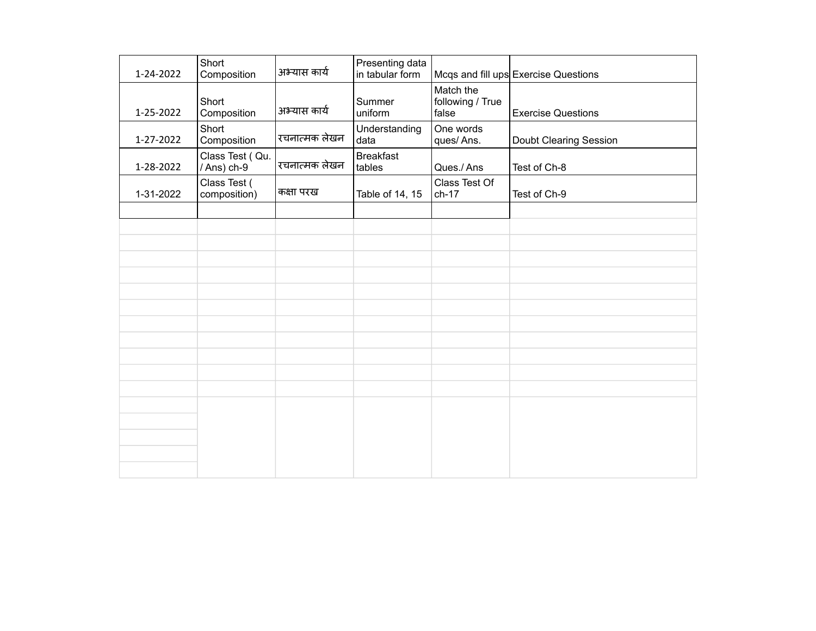| 1-24-2022 | Short<br>Composition           | अभ्यास कार्य  | Presenting data<br>in tabular form |                                        | Mcqs and fill ups Exercise Questions |
|-----------|--------------------------------|---------------|------------------------------------|----------------------------------------|--------------------------------------|
| 1-25-2022 | Short<br>Composition           | अभ्यास कार्य  | Summer<br>uniform                  | Match the<br>following / True<br>false | <b>Exercise Questions</b>            |
| 1-27-2022 | Short<br>Composition           | रचनात्मक लेखन | Understanding<br>data              | One words<br>ques/Ans.                 | <b>Doubt Clearing Session</b>        |
| 1-28-2022 | Class Test (Qu.<br>/ Ans) ch-9 | रचनात्मक लेखन | <b>Breakfast</b><br>tables         | Ques./Ans                              | Test of Ch-8                         |
| 1-31-2022 | Class Test (<br>composition)   | कक्षा परख     | Table of 14, 15                    | Class Test Of<br>$ch-17$               | Test of Ch-9                         |
|           |                                |               |                                    |                                        |                                      |
|           |                                |               |                                    |                                        |                                      |
|           |                                |               |                                    |                                        |                                      |
|           |                                |               |                                    |                                        |                                      |
|           |                                |               |                                    |                                        |                                      |
|           |                                |               |                                    |                                        |                                      |
|           |                                |               |                                    |                                        |                                      |
|           |                                |               |                                    |                                        |                                      |
|           |                                |               |                                    |                                        |                                      |
|           |                                |               |                                    |                                        |                                      |
|           |                                |               |                                    |                                        |                                      |
|           |                                |               |                                    |                                        |                                      |
|           |                                |               |                                    |                                        |                                      |
|           |                                |               |                                    |                                        |                                      |
|           |                                |               |                                    |                                        |                                      |
|           |                                |               |                                    |                                        |                                      |
|           |                                |               |                                    |                                        |                                      |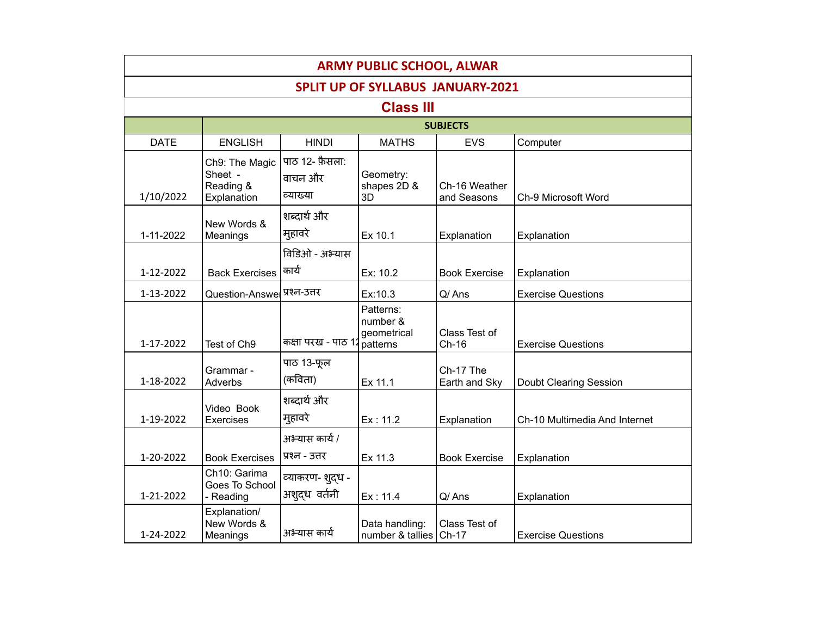| <b>ARMY PUBLIC SCHOOL, ALWAR</b>         |                                                       |                                          |                                                  |                              |                               |  |  |
|------------------------------------------|-------------------------------------------------------|------------------------------------------|--------------------------------------------------|------------------------------|-------------------------------|--|--|
| <b>SPLIT UP OF SYLLABUS JANUARY-2021</b> |                                                       |                                          |                                                  |                              |                               |  |  |
|                                          |                                                       |                                          | <b>Class III</b>                                 |                              |                               |  |  |
|                                          |                                                       |                                          |                                                  | <b>SUBJECTS</b>              |                               |  |  |
| <b>DATE</b>                              | <b>ENGLISH</b>                                        | <b>HINDI</b>                             | <b>MATHS</b>                                     | <b>EVS</b>                   | Computer                      |  |  |
| 1/10/2022                                | Ch9: The Magic<br>Sheet -<br>Reading &<br>Explanation | पाठ 12- फ़ैसला:<br>वाचन और<br>व्याख्या   | Geometry:<br>shapes 2D &<br>3D                   | Ch-16 Weather<br>and Seasons | Ch-9 Microsoft Word           |  |  |
| 1-11-2022                                | New Words &<br>Meanings                               | शब्दार्थ और<br>मुहावरे                   | Ex 10.1                                          | Explanation                  | Explanation                   |  |  |
| 1-12-2022                                | <b>Back Exercises</b>                                 | विडिओ - अभ्यास<br>कार्य                  | Ex: 10.2                                         | <b>Book Exercise</b>         | Explanation                   |  |  |
| 1-13-2022                                | Question-Answer                                       | प्रश्न-उत्तर                             | Ex:10.3                                          | Q/Ans                        | <b>Exercise Questions</b>     |  |  |
| 1-17-2022                                | Test of Ch9                                           | कक्षा परख - पाठ 1                        | Patterns:<br>number &<br>geometrical<br>patterns | Class Test of<br>$Ch-16$     | <b>Exercise Questions</b>     |  |  |
| 1-18-2022                                | Grammar -<br><b>Adverbs</b>                           | पाठ 13-फूल<br>(कविता)                    | Ex 11.1                                          | Ch-17 The<br>Earth and Sky   | Doubt Clearing Session        |  |  |
| 1-19-2022                                | Video Book<br>Exercises                               | शब्दार्थ और<br>मुहावरे<br>अभ्यास कार्य / | Ex: 11.2                                         | Explanation                  | Ch-10 Multimedia And Internet |  |  |
| 1-20-2022                                | <b>Book Exercises</b>                                 | प्रश्न - उत्तर                           | Ex 11.3                                          | <b>Book Exercise</b>         | Explanation                   |  |  |
| 1-21-2022                                | Ch10: Garima<br>Goes To School<br>- Reading           | व्याकरण- शुद्ध -<br>अश्दध वर्तनी         | Ex: 11.4                                         | Q/Ans                        | Explanation                   |  |  |
| 1-24-2022                                | Explanation/<br>New Words &<br>Meanings               | अभ्यास कार्य                             | Data handling:<br>number & tallies               | Class Test of<br>Ch-17       | <b>Exercise Questions</b>     |  |  |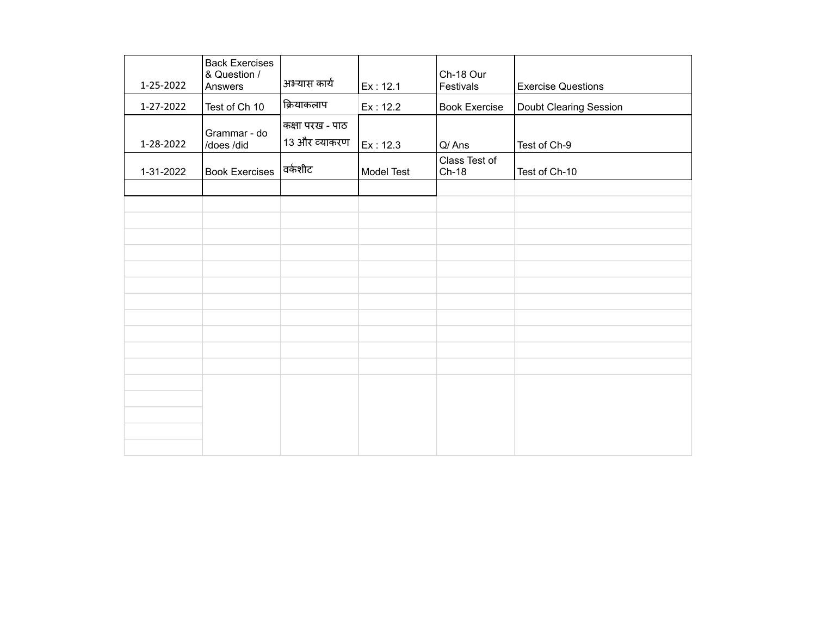| 1-25-2022 | <b>Back Exercises</b><br>& Question /<br>Answers | अभ्यास कार्य                     | Ex: 12.1          | Ch-18 Our<br>Festivals   | <b>Exercise Questions</b> |
|-----------|--------------------------------------------------|----------------------------------|-------------------|--------------------------|---------------------------|
| 1-27-2022 | Test of Ch 10                                    | क्रियाकलाप                       | Ex: 12.2          | <b>Book Exercise</b>     | Doubt Clearing Session    |
| 1-28-2022 | Grammar - do<br>/does /did                       | कक्षा परख - पाठ<br>13 और व्याकरण | Ex: 12.3          | Q/Ans                    | Test of Ch-9              |
| 1-31-2022 | <b>Book Exercises</b>                            | वर्कशीट                          | <b>Model Test</b> | Class Test of<br>$Ch-18$ | Test of Ch-10             |
|           |                                                  |                                  |                   |                          |                           |
|           |                                                  |                                  |                   |                          |                           |
|           |                                                  |                                  |                   |                          |                           |
|           |                                                  |                                  |                   |                          |                           |
|           |                                                  |                                  |                   |                          |                           |
|           |                                                  |                                  |                   |                          |                           |
|           |                                                  |                                  |                   |                          |                           |
|           |                                                  |                                  |                   |                          |                           |
|           |                                                  |                                  |                   |                          |                           |
|           |                                                  |                                  |                   |                          |                           |
|           |                                                  |                                  |                   |                          |                           |
|           |                                                  |                                  |                   |                          |                           |
|           |                                                  |                                  |                   |                          |                           |
|           |                                                  |                                  |                   |                          |                           |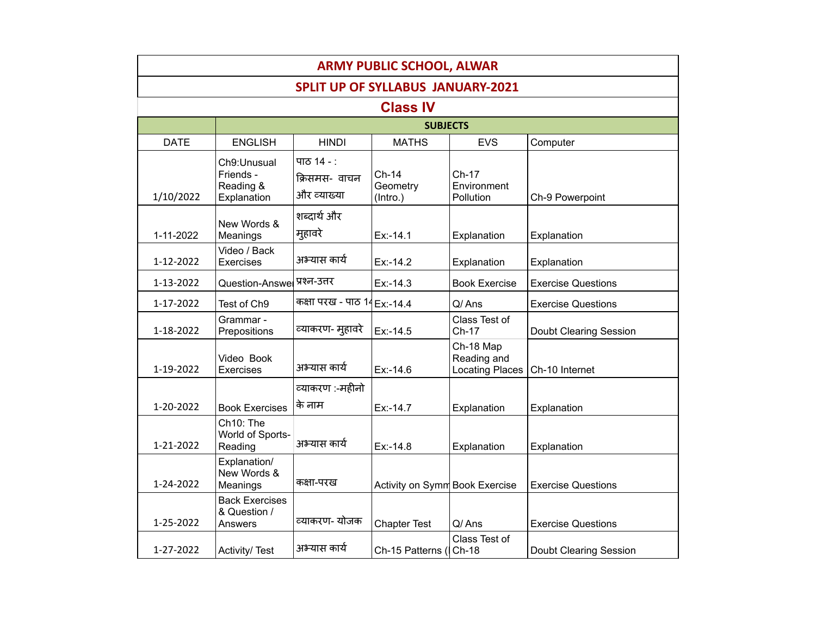| <b>ARMY PUBLIC SCHOOL, ALWAR</b>         |                                                      |                                            |                                 |                                                    |                           |  |  |  |
|------------------------------------------|------------------------------------------------------|--------------------------------------------|---------------------------------|----------------------------------------------------|---------------------------|--|--|--|
| <b>SPLIT UP OF SYLLABUS JANUARY-2021</b> |                                                      |                                            |                                 |                                                    |                           |  |  |  |
| <b>Class IV</b>                          |                                                      |                                            |                                 |                                                    |                           |  |  |  |
|                                          |                                                      |                                            | <b>SUBJECTS</b>                 |                                                    |                           |  |  |  |
| <b>DATE</b>                              | <b>ENGLISH</b>                                       | <b>HINDI</b>                               | <b>MATHS</b>                    | <b>EVS</b>                                         | Computer                  |  |  |  |
| 1/10/2022                                | Ch9:Unusual<br>Friends -<br>Reading &<br>Explanation | पाठ 14 - :<br>क्रिसमस- वाचन<br>और व्याख्या | $Ch-14$<br>Geometry<br>(Intro.) | Ch-17<br>Environment<br><b>Pollution</b>           | Ch-9 Powerpoint           |  |  |  |
| 1-11-2022                                | New Words &<br>Meanings                              | शब्दार्थ और<br>मुहावरे                     | $Ex: -14.1$                     | Explanation                                        | Explanation               |  |  |  |
| 1-12-2022                                | Video / Back<br>Exercises                            | अभ्यास कार्य                               | $Ex: -14.2$                     | Explanation                                        | Explanation               |  |  |  |
| 1-13-2022                                | Question-Answel प्रश्न-उत्तर                         |                                            | $Ex: -14.3$                     | <b>Book Exercise</b>                               | <b>Exercise Questions</b> |  |  |  |
| 1-17-2022                                | Test of Ch9                                          | कक्षा परख - पाठ 14 Ex:-14.4                |                                 | Q/Ans                                              | <b>Exercise Questions</b> |  |  |  |
| 1-18-2022                                | Grammar -<br>Prepositions                            | व्याकरण- मुहावरे                           | Ex:-14.5                        | Class Test of<br>Ch-17                             | Doubt Clearing Session    |  |  |  |
| 1-19-2022                                | Video Book<br>Exercises                              | अभ्यास कार्य                               | $Ex: -14.6$                     | Ch-18 Map<br>Reading and<br><b>Locating Places</b> | Ch-10 Internet            |  |  |  |
|                                          |                                                      | व्याकरण :-महीनो                            |                                 |                                                    |                           |  |  |  |
| 1-20-2022                                | <b>Book Exercises</b>                                | के नाम                                     | Ex:-14.7                        | Explanation                                        | Explanation               |  |  |  |
| 1-21-2022                                | Ch10: The<br>World of Sports-<br>Reading             | अभ्यास कार्य                               | $Ex: -14.8$                     | Explanation                                        | Explanation               |  |  |  |
| 1-24-2022                                | Explanation/<br>New Words &<br>Meanings              | कक्षा-परख                                  | Activity on Symm Book Exercise  |                                                    | <b>Exercise Questions</b> |  |  |  |
| 1-25-2022                                | <b>Back Exercises</b><br>& Question /<br>Answers     | व्याकरण- योजक                              | <b>Chapter Test</b>             | Q/Ans                                              | <b>Exercise Questions</b> |  |  |  |
| 1-27-2022                                | Activity/Test                                        | अभ्यास कार्य                               | Ch-15 Patterns (ICh-18          | Class Test of                                      | Doubt Clearing Session    |  |  |  |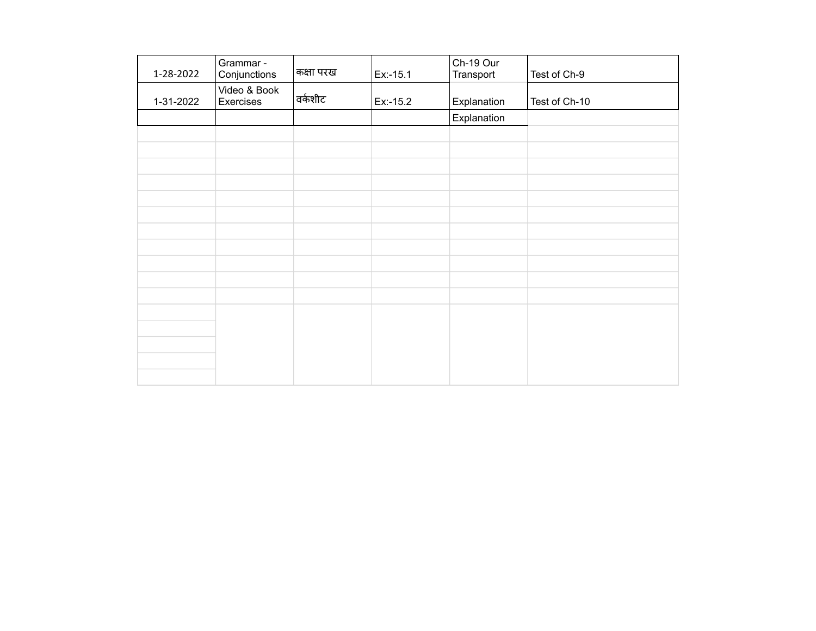| 1-28-2022 | Grammar -<br>Conjunctions | कक्षा परख | Ex:-15.1 | Ch-19 Our<br>Transport | Test of Ch-9  |
|-----------|---------------------------|-----------|----------|------------------------|---------------|
| 1-31-2022 | Video & Book<br>Exercises | वर्कशीट   | Ex:-15.2 | Explanation            | Test of Ch-10 |
|           |                           |           |          | Explanation            |               |
|           |                           |           |          |                        |               |
|           |                           |           |          |                        |               |
|           |                           |           |          |                        |               |
|           |                           |           |          |                        |               |
|           |                           |           |          |                        |               |
|           |                           |           |          |                        |               |
|           |                           |           |          |                        |               |
|           |                           |           |          |                        |               |
|           |                           |           |          |                        |               |
|           |                           |           |          |                        |               |
|           |                           |           |          |                        |               |
|           |                           |           |          |                        |               |
|           |                           |           |          |                        |               |
|           |                           |           |          |                        |               |
|           |                           |           |          |                        |               |
|           |                           |           |          |                        |               |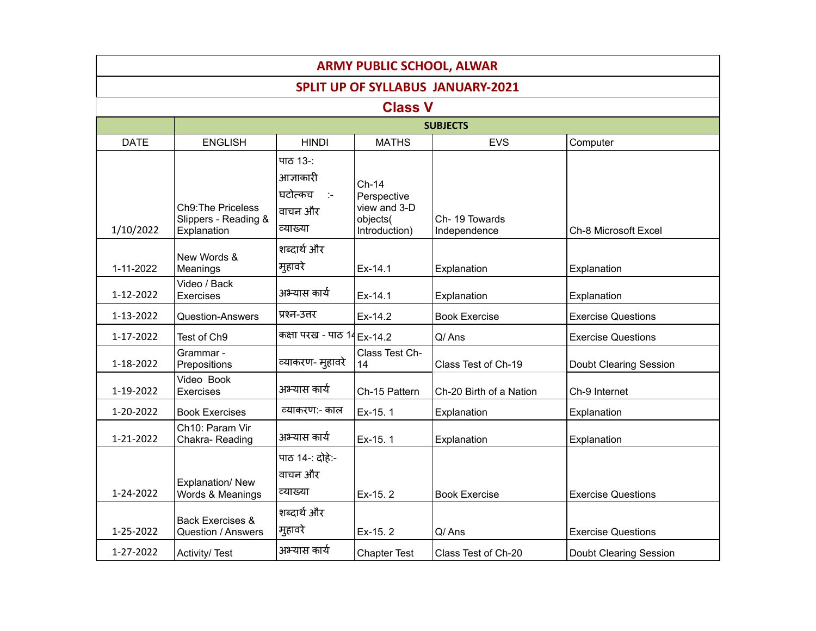| <b>ARMY PUBLIC SCHOOL, ALWAR</b>         |                                                                  |                                                                  |                                                                     |                               |                           |  |  |  |  |
|------------------------------------------|------------------------------------------------------------------|------------------------------------------------------------------|---------------------------------------------------------------------|-------------------------------|---------------------------|--|--|--|--|
| <b>SPLIT UP OF SYLLABUS JANUARY-2021</b> |                                                                  |                                                                  |                                                                     |                               |                           |  |  |  |  |
| <b>Class V</b>                           |                                                                  |                                                                  |                                                                     |                               |                           |  |  |  |  |
|                                          | <b>SUBJECTS</b>                                                  |                                                                  |                                                                     |                               |                           |  |  |  |  |
| <b>DATE</b>                              | <b>ENGLISH</b>                                                   | <b>HINDI</b>                                                     | <b>MATHS</b>                                                        | <b>EVS</b>                    | Computer                  |  |  |  |  |
| 1/10/2022                                | <b>Ch9: The Priceless</b><br>Slippers - Reading &<br>Explanation | पाठ 13-:<br>आज्ञाकारी<br>घटोत्कच<br>in te<br>वाचन और<br>व्याख्या | $Ch-14$<br>Perspective<br>view and 3-D<br>objects(<br>Introduction) | Ch-19 Towards<br>Independence | Ch-8 Microsoft Excel      |  |  |  |  |
| 1-11-2022                                | New Words &<br>Meanings                                          | शब्दार्थ और<br>मुहावरे                                           | Ex-14.1                                                             | Explanation                   | Explanation               |  |  |  |  |
| 1-12-2022                                | Video / Back<br><b>Exercises</b>                                 | अभ्यास कार्य                                                     | Ex-14.1                                                             | Explanation                   | Explanation               |  |  |  |  |
| 1-13-2022                                | <b>Question-Answers</b>                                          | प्रश्न-उत्तर                                                     | Ex-14.2                                                             | <b>Book Exercise</b>          | <b>Exercise Questions</b> |  |  |  |  |
| 1-17-2022                                | Test of Ch9                                                      | कक्षा परख - पाठ 14 Ex-14.2                                       |                                                                     | Q/Ans                         | <b>Exercise Questions</b> |  |  |  |  |
| 1-18-2022                                | Grammar -<br>Prepositions                                        | व्याकरण- मुहावरे                                                 | Class Test Ch-<br>14                                                | Class Test of Ch-19           | Doubt Clearing Session    |  |  |  |  |
| 1-19-2022                                | Video Book<br>Exercises                                          | अभ्यास कार्य                                                     | Ch-15 Pattern                                                       | Ch-20 Birth of a Nation       | Ch-9 Internet             |  |  |  |  |
| 1-20-2022                                | <b>Book Exercises</b>                                            | व्याकरण:- काल                                                    | Ex-15.1                                                             | Explanation                   | Explanation               |  |  |  |  |
| 1-21-2022                                | Ch10: Param Vir<br>Chakra-Reading                                | अभ्यास कार्य                                                     | Ex-15.1                                                             | Explanation                   | Explanation               |  |  |  |  |
| 1-24-2022                                | Explanation/New<br>Words & Meanings                              | पाठ 14 -: दोहे:-<br>वाचन और<br>व्याख्या                          | Ex-15.2                                                             | <b>Book Exercise</b>          | <b>Exercise Questions</b> |  |  |  |  |
| 1-25-2022                                | <b>Back Exercises &amp;</b><br><b>Question / Answers</b>         | शब्दार्थ और<br>मुहावरे                                           | Ex-15.2                                                             | Q/Ans                         | <b>Exercise Questions</b> |  |  |  |  |
| 1-27-2022                                | Activity/Test                                                    | अभ्यास कार्य                                                     | <b>Chapter Test</b>                                                 | Class Test of Ch-20           | Doubt Clearing Session    |  |  |  |  |